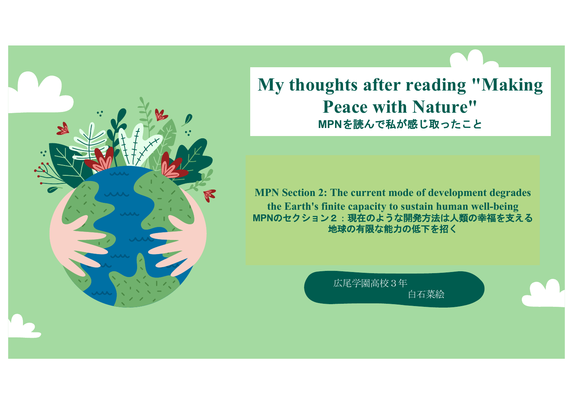

**My thoughts after reading "Making Peace with Nature" MPN**を読んで私が感じ取ったこと

**MPN Section 2: The current mode of development degrades the Earth's finite capacity to sustain human well-being MPN**のセクション2:現在のような開発方法は人類の幸福を支える 地球の有限な能力の低下を招く

> 広尾学園高校3年 白石菜絵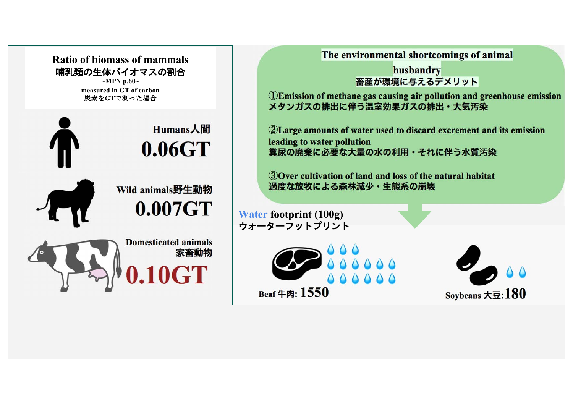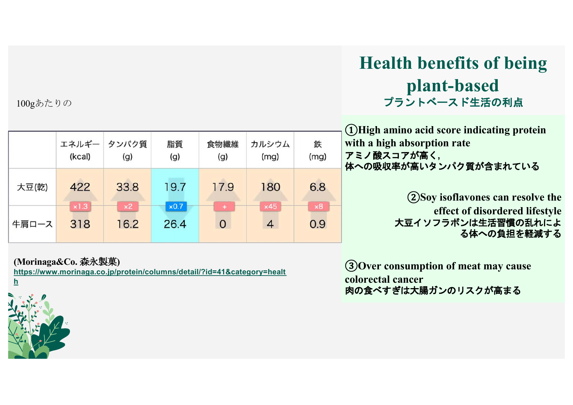100gあたりの

|       | エネルギー<br>(kcal) | タンパク質<br>(g)       | 脂質<br>(g)            | 食物繊維<br>(g) | カルシウム<br>(mg)    | 鉄<br>(mg)         |  |
|-------|-----------------|--------------------|----------------------|-------------|------------------|-------------------|--|
| 大豆(乾) | 422             | 33.8               | 19.7                 | 17.9        | 180              | 6.8               |  |
| 牛肩ロース | x1.3<br>318     | $\times 2$<br>16.2 | $\times 0.7$<br>26.4 | $+$<br>0    | $\times 45$<br>4 | $\times 8$<br>0.9 |  |

**Health benefits of being plant-based** プラントベースド生活の利点

①**High amino acid score indicating protein with a high absorption rate** アミノ酸スコアが高く**,** 体への吸収率が高いタンパク質が含まれている

> ②**Soy isoflavones can resolve the effect of disordered lifestyle**  大豆イソフラボンは生活習慣の乱れによ る体への負担を軽減する

**(Morinaga&Co.** 森永製菓**)**

**[https://www.morinaga.co.jp/protein/columns/detail/?id=41&category=hea](https://www.morinaga.co.jp/protein/columns/detail/?id=41&category=health)lt h**

③**Over consumption of meat may cause colorectal cancer** 肉の食べすぎは大腸ガンのリスクが高まる

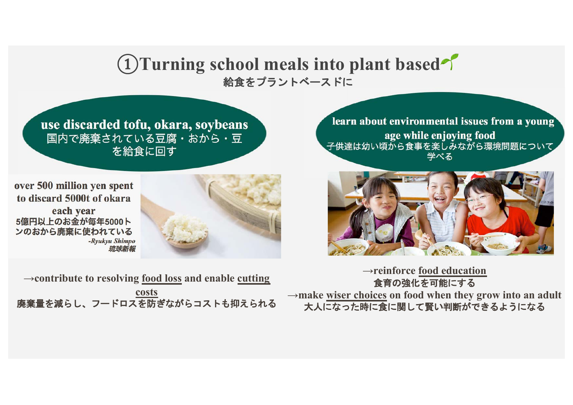## ①**Turning school meals into plant based** 給食をプラントベースドに

use discarded tofu, okara, soybeans 国内で廃棄されている豆腐・おから・豆 を給食に回す



over 500 million yen spent to discard 5000t of okara each year 5億円以上のお金が毎年5000ト ンのおから廃棄に使われている -Ryukyu Shimpo

**→contribute to resolving food loss and enable cutting costs** 廃棄量を減らし、フードロスを防ぎながらコストも抑えられる

learn about environmental issues from a young age while enjoying food<br>子供達は幼い頃から食事を楽しみながら環境問題について 学べる



**→reinforce food education** 食育の強化を可能にする **→make wiser choices on food when they grow into an adult** 大人になった時に食に関して賢い判断ができるようになる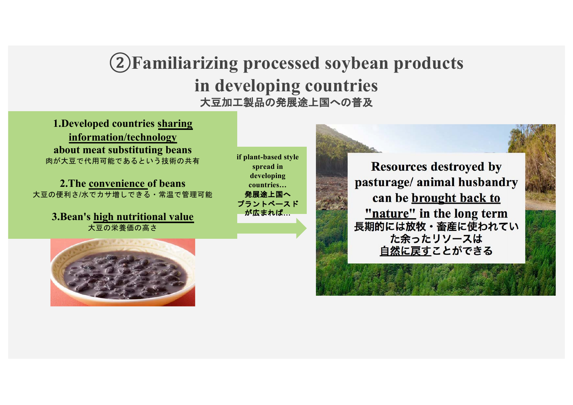## ②**Familiarizing processed soybean products in developing countries** 大豆加工製品の発展途上国への普及

**1.Developed countries sharing information/technology about meat substituting beans** 肉が大豆で代用可能であるという技術の共有

**2.The convenience of beans** 大豆の便利さ/水でカサ増しできる・常温で管理可能

> **3.Bean's high nutritional value** 大豆の栄養価の高さ

**if plant-based style spread in developing countries…** 発展途上国へ プラントベースド が広まれば**…**

**Resources destroyed by** pasturage/animal husbandry can be brought back to "nature" in the long term 長期的には放牧・畜産に使われてい た余ったリソースは 自然に戻すことができる

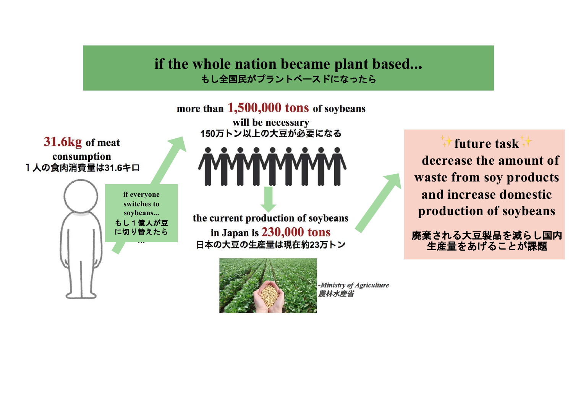**if the whole nation became plant based...** もし全国民がプラントベースドになったら

31.6kg of meat consumption

1人の食肉消費量は31.6キロ

| if everyone<br>switches to<br>soybeans<br>もし1億人が豆<br>に切り替えたら |
|--------------------------------------------------------------|
|                                                              |



more than 1,500,000 tons of soybeans

will be necessary

the current production of soybeans in Japan is 230,000 tons 日本の大豆の生産量は現在約23万トン



-Ministry of Agriculture 農林水産省

✨**future task**✨ **decrease the amount of waste from soy products and increase domestic production of soybeans**

廃棄される大豆製品を減らし国内 生産量をあげることが課題